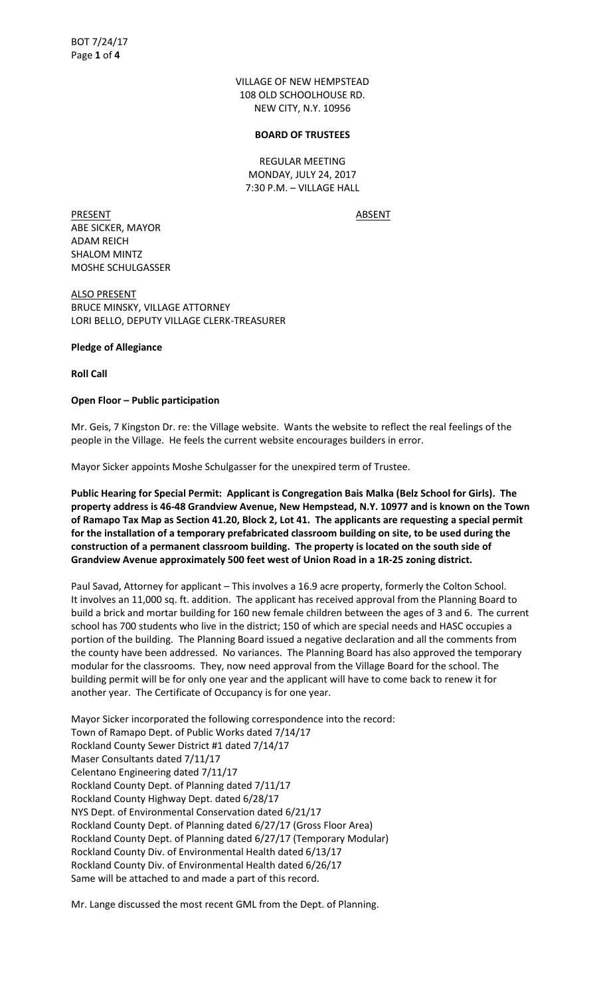VILLAGE OF NEW HEMPSTEAD 108 OLD SCHOOLHOUSE RD. NEW CITY, N.Y. 10956

#### **BOARD OF TRUSTEES**

REGULAR MEETING MONDAY, JULY 24, 2017 7:30 P.M. – VILLAGE HALL

PRESENT ABSENT ABE SICKER, MAYOR ADAM REICH SHALOM MINTZ MOSHE SCHULGASSER

ALSO PRESENT BRUCE MINSKY, VILLAGE ATTORNEY LORI BELLO, DEPUTY VILLAGE CLERK-TREASURER

## **Pledge of Allegiance**

**Roll Call** 

# **Open Floor – Public participation**

Mr. Geis, 7 Kingston Dr. re: the Village website. Wants the website to reflect the real feelings of the people in the Village. He feels the current website encourages builders in error.

Mayor Sicker appoints Moshe Schulgasser for the unexpired term of Trustee.

**Public Hearing for Special Permit: Applicant is Congregation Bais Malka (Belz School for Girls). The property address is 46-48 Grandview Avenue, New Hempstead, N.Y. 10977 and is known on the Town of Ramapo Tax Map as Section 41.20, Block 2, Lot 41. The applicants are requesting a special permit for the installation of a temporary prefabricated classroom building on site, to be used during the construction of a permanent classroom building. The property is located on the south side of Grandview Avenue approximately 500 feet west of Union Road in a 1R-25 zoning district.** 

Paul Savad, Attorney for applicant – This involves a 16.9 acre property, formerly the Colton School. It involves an 11,000 sq. ft. addition. The applicant has received approval from the Planning Board to build a brick and mortar building for 160 new female children between the ages of 3 and 6. The current school has 700 students who live in the district; 150 of which are special needs and HASC occupies a portion of the building. The Planning Board issued a negative declaration and all the comments from the county have been addressed. No variances. The Planning Board has also approved the temporary modular for the classrooms. They, now need approval from the Village Board for the school. The building permit will be for only one year and the applicant will have to come back to renew it for another year. The Certificate of Occupancy is for one year.

Mayor Sicker incorporated the following correspondence into the record: Town of Ramapo Dept. of Public Works dated 7/14/17 Rockland County Sewer District #1 dated 7/14/17 Maser Consultants dated 7/11/17 Celentano Engineering dated 7/11/17 Rockland County Dept. of Planning dated 7/11/17 Rockland County Highway Dept. dated 6/28/17 NYS Dept. of Environmental Conservation dated 6/21/17 Rockland County Dept. of Planning dated 6/27/17 (Gross Floor Area) Rockland County Dept. of Planning dated 6/27/17 (Temporary Modular) Rockland County Div. of Environmental Health dated 6/13/17 Rockland County Div. of Environmental Health dated 6/26/17 Same will be attached to and made a part of this record.

Mr. Lange discussed the most recent GML from the Dept. of Planning.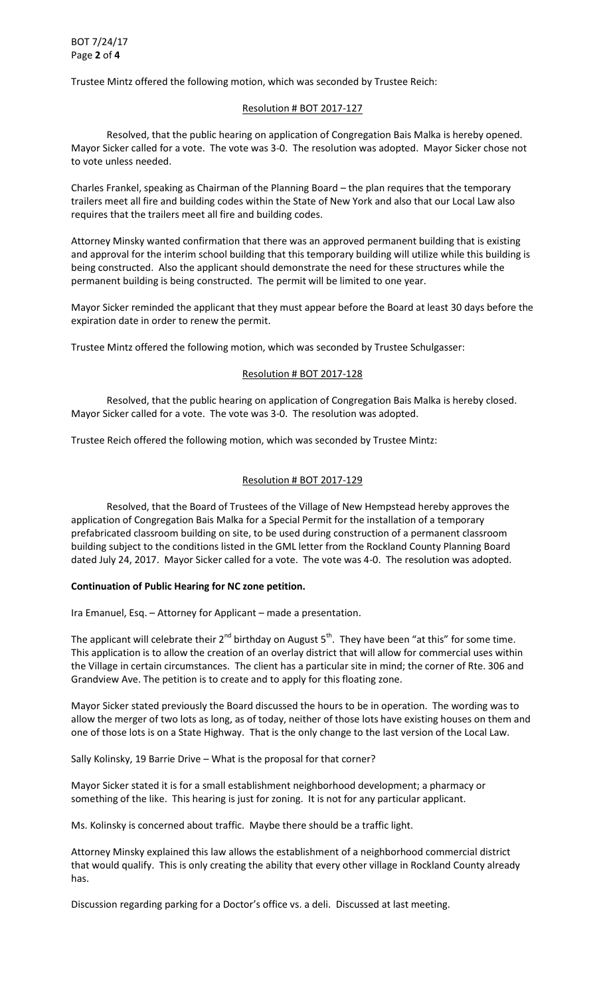Trustee Mintz offered the following motion, which was seconded by Trustee Reich:

#### Resolution # BOT 2017-127

 Resolved, that the public hearing on application of Congregation Bais Malka is hereby opened. Mayor Sicker called for a vote. The vote was 3-0. The resolution was adopted. Mayor Sicker chose not to vote unless needed.

Charles Frankel, speaking as Chairman of the Planning Board – the plan requires that the temporary trailers meet all fire and building codes within the State of New York and also that our Local Law also requires that the trailers meet all fire and building codes.

Attorney Minsky wanted confirmation that there was an approved permanent building that is existing and approval for the interim school building that this temporary building will utilize while this building is being constructed. Also the applicant should demonstrate the need for these structures while the permanent building is being constructed. The permit will be limited to one year.

Mayor Sicker reminded the applicant that they must appear before the Board at least 30 days before the expiration date in order to renew the permit.

Trustee Mintz offered the following motion, which was seconded by Trustee Schulgasser:

## Resolution # BOT 2017-128

 Resolved, that the public hearing on application of Congregation Bais Malka is hereby closed. Mayor Sicker called for a vote. The vote was 3-0. The resolution was adopted.

Trustee Reich offered the following motion, which was seconded by Trustee Mintz:

#### Resolution # BOT 2017-129

 Resolved, that the Board of Trustees of the Village of New Hempstead hereby approves the application of Congregation Bais Malka for a Special Permit for the installation of a temporary prefabricated classroom building on site, to be used during construction of a permanent classroom building subject to the conditions listed in the GML letter from the Rockland County Planning Board dated July 24, 2017. Mayor Sicker called for a vote. The vote was 4-0. The resolution was adopted.

#### **Continuation of Public Hearing for NC zone petition.**

Ira Emanuel, Esq. – Attorney for Applicant – made a presentation.

The applicant will celebrate their  $2^{nd}$  birthday on August  $5^{th}$ . They have been "at this" for some time. This application is to allow the creation of an overlay district that will allow for commercial uses within the Village in certain circumstances. The client has a particular site in mind; the corner of Rte. 306 and Grandview Ave. The petition is to create and to apply for this floating zone.

Mayor Sicker stated previously the Board discussed the hours to be in operation. The wording was to allow the merger of two lots as long, as of today, neither of those lots have existing houses on them and one of those lots is on a State Highway. That is the only change to the last version of the Local Law.

Sally Kolinsky, 19 Barrie Drive – What is the proposal for that corner?

Mayor Sicker stated it is for a small establishment neighborhood development; a pharmacy or something of the like. This hearing is just for zoning. It is not for any particular applicant.

Ms. Kolinsky is concerned about traffic. Maybe there should be a traffic light.

Attorney Minsky explained this law allows the establishment of a neighborhood commercial district that would qualify. This is only creating the ability that every other village in Rockland County already has.

Discussion regarding parking for a Doctor's office vs. a deli. Discussed at last meeting.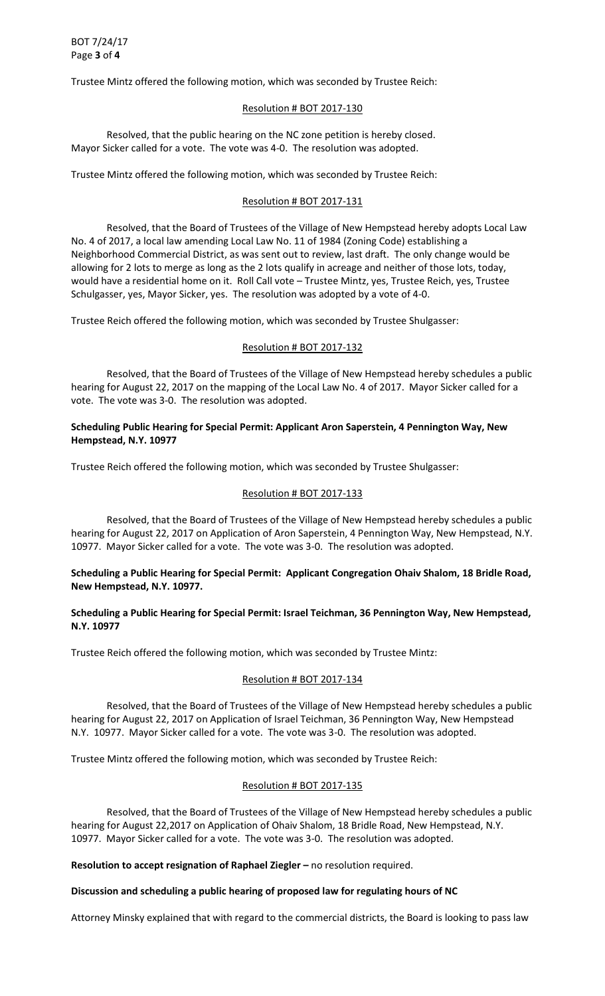Trustee Mintz offered the following motion, which was seconded by Trustee Reich:

#### Resolution # BOT 2017-130

 Resolved, that the public hearing on the NC zone petition is hereby closed. Mayor Sicker called for a vote. The vote was 4-0. The resolution was adopted.

Trustee Mintz offered the following motion, which was seconded by Trustee Reich:

#### Resolution # BOT 2017-131

 Resolved, that the Board of Trustees of the Village of New Hempstead hereby adopts Local Law No. 4 of 2017, a local law amending Local Law No. 11 of 1984 (Zoning Code) establishing a Neighborhood Commercial District, as was sent out to review, last draft. The only change would be allowing for 2 lots to merge as long as the 2 lots qualify in acreage and neither of those lots, today, would have a residential home on it. Roll Call vote – Trustee Mintz, yes, Trustee Reich, yes, Trustee Schulgasser, yes, Mayor Sicker, yes. The resolution was adopted by a vote of 4-0.

Trustee Reich offered the following motion, which was seconded by Trustee Shulgasser:

#### Resolution # BOT 2017-132

 Resolved, that the Board of Trustees of the Village of New Hempstead hereby schedules a public hearing for August 22, 2017 on the mapping of the Local Law No. 4 of 2017. Mayor Sicker called for a vote. The vote was 3-0. The resolution was adopted.

## **Scheduling Public Hearing for Special Permit: Applicant Aron Saperstein, 4 Pennington Way, New Hempstead, N.Y. 10977**

Trustee Reich offered the following motion, which was seconded by Trustee Shulgasser:

#### Resolution # BOT 2017-133

 Resolved, that the Board of Trustees of the Village of New Hempstead hereby schedules a public hearing for August 22, 2017 on Application of Aron Saperstein, 4 Pennington Way, New Hempstead, N.Y. 10977. Mayor Sicker called for a vote. The vote was 3-0. The resolution was adopted.

## **Scheduling a Public Hearing for Special Permit: Applicant Congregation Ohaiv Shalom, 18 Bridle Road, New Hempstead, N.Y. 10977.**

## **Scheduling a Public Hearing for Special Permit: Israel Teichman, 36 Pennington Way, New Hempstead, N.Y. 10977**

Trustee Reich offered the following motion, which was seconded by Trustee Mintz:

# Resolution # BOT 2017-134

Resolved, that the Board of Trustees of the Village of New Hempstead hereby schedules a public hearing for August 22, 2017 on Application of Israel Teichman, 36 Pennington Way, New Hempstead N.Y. 10977. Mayor Sicker called for a vote. The vote was 3-0. The resolution was adopted.

Trustee Mintz offered the following motion, which was seconded by Trustee Reich:

#### Resolution # BOT 2017-135

 Resolved, that the Board of Trustees of the Village of New Hempstead hereby schedules a public hearing for August 22,2017 on Application of Ohaiv Shalom, 18 Bridle Road, New Hempstead, N.Y. 10977. Mayor Sicker called for a vote. The vote was 3-0. The resolution was adopted.

**Resolution to accept resignation of Raphael Ziegler – no resolution required.** 

# **Discussion and scheduling a public hearing of proposed law for regulating hours of NC**

Attorney Minsky explained that with regard to the commercial districts, the Board is looking to pass law